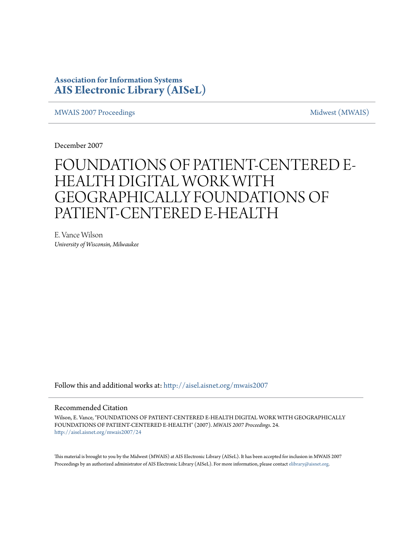### **Association for Information Systems [AIS Electronic Library \(AISeL\)](http://aisel.aisnet.org?utm_source=aisel.aisnet.org%2Fmwais2007%2F24&utm_medium=PDF&utm_campaign=PDFCoverPages)**

[MWAIS 2007 Proceedings](http://aisel.aisnet.org/mwais2007?utm_source=aisel.aisnet.org%2Fmwais2007%2F24&utm_medium=PDF&utm_campaign=PDFCoverPages) and the matrix of the [Midwest \(MWAIS\)](http://aisel.aisnet.org/mwais?utm_source=aisel.aisnet.org%2Fmwais2007%2F24&utm_medium=PDF&utm_campaign=PDFCoverPages)

December 2007

# FOUNDATIONS OF PATIENT-CENTERED E-HEALTH DIGITAL WORK WITH GEOGRAPHICALLY FOUNDATIONS OF PATIENT-CENTERED E-HEALTH

E. Vance Wilson *University of Wisconsin, Milwaukee*

Follow this and additional works at: [http://aisel.aisnet.org/mwais2007](http://aisel.aisnet.org/mwais2007?utm_source=aisel.aisnet.org%2Fmwais2007%2F24&utm_medium=PDF&utm_campaign=PDFCoverPages)

#### Recommended Citation

Wilson, E. Vance, "FOUNDATIONS OF PATIENT-CENTERED E-HEALTH DIGITAL WORK WITH GEOGRAPHICALLY FOUNDATIONS OF PATIENT-CENTERED E-HEALTH" (2007). *MWAIS 2007 Proceedings*. 24. [http://aisel.aisnet.org/mwais2007/24](http://aisel.aisnet.org/mwais2007/24?utm_source=aisel.aisnet.org%2Fmwais2007%2F24&utm_medium=PDF&utm_campaign=PDFCoverPages)

This material is brought to you by the Midwest (MWAIS) at AIS Electronic Library (AISeL). It has been accepted for inclusion in MWAIS 2007 Proceedings by an authorized administrator of AIS Electronic Library (AISeL). For more information, please contact [elibrary@aisnet.org](mailto:elibrary@aisnet.org%3E).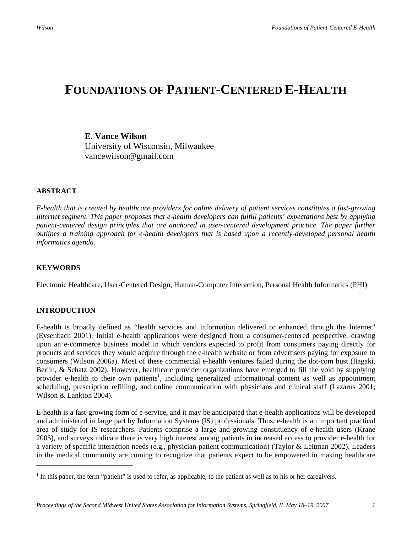## **FOUNDATIONS OF PATIENT-CENTERED E-HEALTH**

**E. Vance Wilson**  University of Wisconsin, Milwaukee vancewilson@gmail.com

#### **ABSTRACT**

*E-health that is created by healthcare providers for online delivery of patient services constitutes a fast-growing Internet segment. This paper proposes that e-health developers can fulfill patients' expectations best by applying patient-centered design principles that are anchored in user-centered development practice. The paper further outlines a training approach for e-health developers that is based upon a recently-developed personal health informatics agenda.* 

#### **KEYWORDS**

Electronic Healthcare, User-Centered Design, Human-Computer Interaction, Personal Health Informatics (PHI)

#### **INTRODUCTION**

 $\overline{a}$ 

E-health is broadly defined as "health services and information delivered or enhanced through the Internet" (Eysenbach 2001). Initial e-health applications were designed from a consumer-centered perspective, drawing upon an e-commerce business model in which vendors expected to profit from consumers paying directly for products and services they would acquire through the e-health website or from advertisers paying for exposure to consumers (Wilson 2006a). Most of these commercial e-health ventures failed during the dot-com bust (Itagaki, Berlin, & Schatz 2002). However, healthcare provider organizations have emerged to fill the void by supplying provider e-health to their own patients<sup>1</sup>, including generalized informational content as well as appointment scheduling, prescription refilling, and online communication with physicians and clinical staff (Lazarus 2001; Wilson & Lankton 2004).

E-health is a fast-growing form of e-service, and it may be anticipated that e-health applications will be developed and administered in large part by Information Systems (IS) professionals. Thus, e-health is an important practical area of study for IS researchers. Patients comprise a large and growing constituency of e-health users (Krane 2005), and surveys indicate there is very high interest among patients in increased access to provider e-health for a variety of specific interaction needs (e.g., physician-patient communication) (Taylor & Leitman 2002). Leaders in the medical community are coming to recognize that patients expect to be empowered in making healthcare

 $<sup>1</sup>$  In this paper, the term "patient" is used to refer, as applicable, to the patient as well as to his or her caregivers.</sup>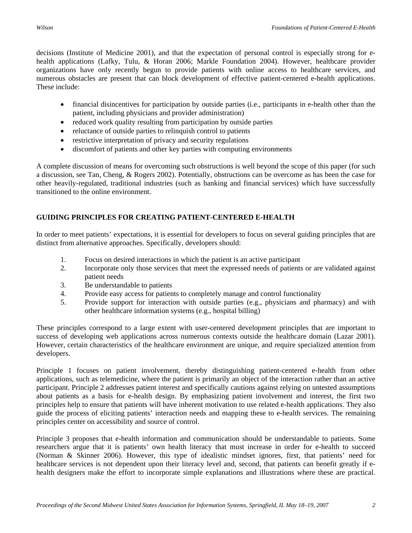decisions (Institute of Medicine 2001), and that the expectation of personal control is especially strong for ehealth applications (Lafky, Tulu, & Horan 2006; Markle Foundation 2004). However, healthcare provider organizations have only recently begun to provide patients with online access to healthcare services, and numerous obstacles are present that can block development of effective patient-centered e-health applications. These include:

- financial disincentives for participation by outside parties (i.e., participants in e-health other than the patient, including physicians and provider administration)
- reduced work quality resulting from participation by outside parties
- reluctance of outside parties to relinquish control to patients
- restrictive interpretation of privacy and security regulations
- discomfort of patients and other key parties with computing environments

A complete discussion of means for overcoming such obstructions is well beyond the scope of this paper (for such a discussion, see Tan, Cheng, & Rogers 2002). Potentially, obstructions can be overcome as has been the case for other heavily-regulated, traditional industries (such as banking and financial services) which have successfully transitioned to the online environment.

#### **GUIDING PRINCIPLES FOR CREATING PATIENT-CENTERED E-HEALTH**

In order to meet patients' expectations, it is essential for developers to focus on several guiding principles that are distinct from alternative approaches. Specifically, developers should:

- 1. Focus on desired interactions in which the patient is an active participant
- 2. Incorporate only those services that meet the expressed needs of patients or are validated against patient needs
- 3. Be understandable to patients
- 4. Provide easy access for patients to completely manage and control functionality
- 5. Provide support for interaction with outside parties (e.g., physicians and pharmacy) and with other healthcare information systems (e.g., hospital billing)

These principles correspond to a large extent with user-centered development principles that are important to success of developing web applications across numerous contexts outside the healthcare domain (Lazar 2001). However, certain characteristics of the healthcare environment are unique, and require specialized attention from developers.

Principle 1 focuses on patient involvement, thereby distinguishing patient-centered e-health from other applications, such as telemedicine, where the patient is primarily an object of the interaction rather than an active participant. Principle 2 addresses patient interest and specifically cautions against relying on untested assumptions about patients as a basis for e-health design. By emphasizing patient involvement and interest, the first two principles help to ensure that patients will have inherent motivation to use related e-health applications. They also guide the process of eliciting patients' interaction needs and mapping these to e-health services. The remaining principles center on accessibility and source of control.

Principle 3 proposes that e-health information and communication should be understandable to patients. Some researchers argue that it is patients' own health literacy that must increase in order for e-health to succeed (Norman & Skinner 2006). However, this type of idealistic mindset ignores, first, that patients' need for healthcare services is not dependent upon their literacy level and, second, that patients can benefit greatly if ehealth designers make the effort to incorporate simple explanations and illustrations where these are practical.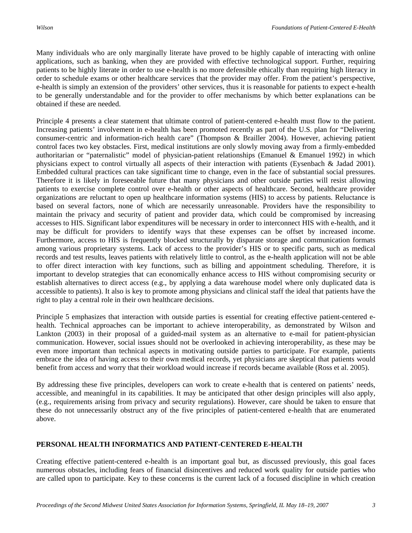Many individuals who are only marginally literate have proved to be highly capable of interacting with online applications, such as banking, when they are provided with effective technological support. Further, requiring patients to be highly literate in order to use e-health is no more defensible ethically than requiring high literacy in order to schedule exams or other healthcare services that the provider may offer. From the patient's perspective, e-health is simply an extension of the providers' other services, thus it is reasonable for patients to expect e-health to be generally understandable and for the provider to offer mechanisms by which better explanations can be obtained if these are needed.

Principle 4 presents a clear statement that ultimate control of patient-centered e-health must flow to the patient. Increasing patients' involvement in e-health has been promoted recently as part of the U.S. plan for "Delivering consumer-centric and information-rich health care" (Thompson & Brailler 2004). However, achieving patient control faces two key obstacles. First, medical institutions are only slowly moving away from a firmly-embedded authoritarian or "paternalistic" model of physician-patient relationships (Emanuel & Emanuel 1992) in which physicians expect to control virtually all aspects of their interaction with patients (Eysenbach & Jadad 2001). Embedded cultural practices can take significant time to change, even in the face of substantial social pressures. Therefore it is likely in foreseeable future that many physicians and other outside parties will resist allowing patients to exercise complete control over e-health or other aspects of healthcare. Second, healthcare provider organizations are reluctant to open up healthcare information systems (HIS) to access by patients. Reluctance is based on several factors, none of which are necessarily unreasonable. Providers have the responsibility to maintain the privacy and security of patient and provider data, which could be compromised by increasing accesses to HIS. Significant labor expenditures will be necessary in order to interconnect HIS with e-health, and it may be difficult for providers to identify ways that these expenses can be offset by increased income. Furthermore, access to HIS is frequently blocked structurally by disparate storage and communication formats among various proprietary systems. Lack of access to the provider's HIS or to specific parts, such as medical records and test results, leaves patients with relatively little to control, as the e-health application will not be able to offer direct interaction with key functions, such as billing and appointment scheduling. Therefore, it is important to develop strategies that can economically enhance access to HIS without compromising security or establish alternatives to direct access (e.g., by applying a data warehouse model where only duplicated data is accessible to patients). It also is key to promote among physicians and clinical staff the ideal that patients have the right to play a central role in their own healthcare decisions.

Principle 5 emphasizes that interaction with outside parties is essential for creating effective patient-centered ehealth. Technical approaches can be important to achieve interoperability, as demonstrated by Wilson and Lankton (2003) in their proposal of a guided-mail system as an alternative to e-mail for patient-physician communication. However, social issues should not be overlooked in achieving interoperability, as these may be even more important than technical aspects in motivating outside parties to participate. For example, patients embrace the idea of having access to their own medical records, yet physicians are skeptical that patients would benefit from access and worry that their workload would increase if records became available (Ross et al. 2005).

By addressing these five principles, developers can work to create e-health that is centered on patients' needs, accessible, and meaningful in its capabilities. It may be anticipated that other design principles will also apply, (e.g., requirements arising from privacy and security regulations). However, care should be taken to ensure that these do not unnecessarily obstruct any of the five principles of patient-centered e-health that are enumerated above.

#### **PERSONAL HEALTH INFORMATICS AND PATIENT-CENTERED E-HEALTH**

Creating effective patient-centered e-health is an important goal but, as discussed previously, this goal faces numerous obstacles, including fears of financial disincentives and reduced work quality for outside parties who are called upon to participate. Key to these concerns is the current lack of a focused discipline in which creation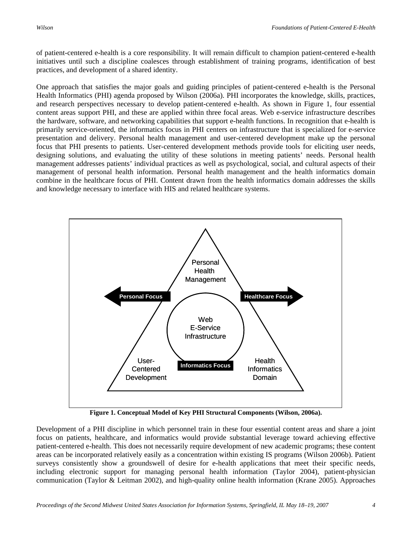of patient-centered e-health is a core responsibility. It will remain difficult to champion patient-centered e-health initiatives until such a discipline coalesces through establishment of training programs, identification of best practices, and development of a shared identity.

One approach that satisfies the major goals and guiding principles of patient-centered e-health is the Personal Health Informatics (PHI) agenda proposed by Wilson (2006a). PHI incorporates the knowledge, skills, practices, and research perspectives necessary to develop patient-centered e-health. As shown in Figure 1, four essential content areas support PHI, and these are applied within three focal areas. Web e-service infrastructure describes the hardware, software, and networking capabilities that support e-health functions. In recognition that e-health is primarily service-oriented, the informatics focus in PHI centers on infrastructure that is specialized for e-service presentation and delivery. Personal health management and user-centered development make up the personal focus that PHI presents to patients. User-centered development methods provide tools for eliciting user needs, designing solutions, and evaluating the utility of these solutions in meeting patients' needs. Personal health management addresses patients' individual practices as well as psychological, social, and cultural aspects of their management of personal health information. Personal health management and the health informatics domain combine in the healthcare focus of PHI. Content drawn from the health informatics domain addresses the skills and knowledge necessary to interface with HIS and related healthcare systems.



**Figure 1. Conceptual Model of Key PHI Structural Components (Wilson, 2006a).** 

Development of a PHI discipline in which personnel train in these four essential content areas and share a joint focus on patients, healthcare, and informatics would provide substantial leverage toward achieving effective patient-centered e-health. This does not necessarily require development of new academic programs; these content areas can be incorporated relatively easily as a concentration within existing IS programs (Wilson 2006b). Patient surveys consistently show a groundswell of desire for e-health applications that meet their specific needs, including electronic support for managing personal health information (Taylor 2004), patient-physician communication (Taylor & Leitman 2002), and high-quality online health information (Krane 2005). Approaches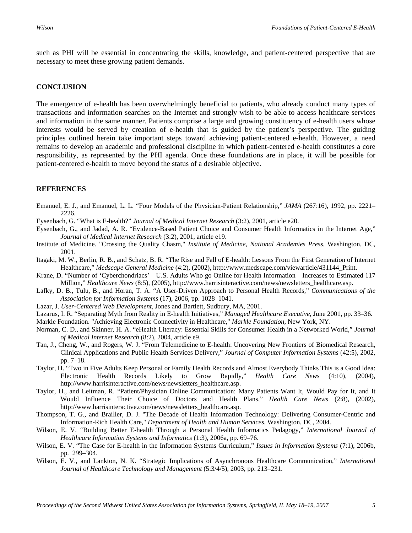such as PHI will be essential in concentrating the skills, knowledge, and patient-centered perspective that are necessary to meet these growing patient demands.

#### **CONCLUSION**

The emergence of e-health has been overwhelmingly beneficial to patients, who already conduct many types of transactions and information searches on the Internet and strongly wish to be able to access healthcare services and information in the same manner. Patients comprise a large and growing constituency of e-health users whose interests would be served by creation of e-health that is guided by the patient's perspective. The guiding principles outlined herein take important steps toward achieving patient-centered e-health. However, a need remains to develop an academic and professional discipline in which patient-centered e-health constitutes a core responsibility, as represented by the PHI agenda. Once these foundations are in place, it will be possible for patient-centered e-health to move beyond the status of a desirable objective.

#### **REFERENCES**

- Emanuel, E. J., and Emanuel, L. L. "Four Models of the Physician-Patient Relationship," *JAMA* (267:16), 1992, pp. 2221– 2226.
- Eysenbach, G. "What is E-health?" *Journal of Medical Internet Research* (3:2), 2001, article e20.
- Eysenbach, G., and Jadad, A. R. "Evidence-Based Patient Choice and Consumer Health Informatics in the Internet Age," *Journal of Medical Internet Research* (3:2), 2001, article e19.
- Institute of Medicine. "Crossing the Quality Chasm," *Institute of Medicine, National Academies Press*, Washington, DC, 2001.
- Itagaki, M. W., Berlin, R. B., and Schatz, B. R. "The Rise and Fall of E-health: Lessons From the First Generation of Internet Healthcare," *Medscape General Medicine* (4:2), (2002), http://www.medscape.com/viewarticle/431144\_Print.
- Krane, D. "Number of 'Cyberchondriacs'—U.S. Adults Who go Online for Health Information—Increases to Estimated 117 Million," *Healthcare News* (8:5), (2005), http://www.harrisinteractive.com/news/newsletters\_healthcare.asp.
- Lafky, D. B., Tulu, B., and Horan, T. A. "A User-Driven Approach to Personal Health Records," *Communications of the Association for Information Systems* (17), 2006, pp. 1028–1041.
- Lazar, J. *User-Centered Web Development*, Jones and Bartlett, Sudbury, MA, 2001.
- Lazarus, I. R. "Separating Myth from Reality in E-health Initiatives," *Managed Healthcare Executive*, June 2001, pp. 33–36.
- Markle Foundation. "Achieving Electronic Connectivity in Healthcare," *Markle Foundation*, New York, NY.
- Norman, C. D., and Skinner, H. A. "eHealth Literacy: Essential Skills for Consumer Health in a Networked World," *Journal of Medical Internet Research* (8:2), 2004, article e9.
- Tan, J., Cheng, W., and Rogers, W. J. "From Telemedicine to E-health: Uncovering New Frontiers of Biomedical Research, Clinical Applications and Public Health Services Delivery," *Journal of Computer Information Systems* (42:5), 2002, pp. 7–18.
- Taylor, H. "Two in Five Adults Keep Personal or Family Health Records and Almost Everybody Thinks This is a Good Idea: Electronic Health Records Likely to Grow Rapidly," *Health Care News* (4:10), (2004), http://www.harrisinteractive.com/news/newsletters\_healthcare.asp.
- Taylor, H., and Leitman, R. "Patient/Physician Online Communication: Many Patients Want It, Would Pay for It, and It Would Influence Their Choice of Doctors and Health Plans," *Health Care News* (2:8), (2002), http://www.harrisinteractive.com/news/newsletters\_healthcare.asp.
- Thompson, T. G., and Brailler, D. J. "The Decade of Health Information Technology: Delivering Consumer-Centric and Information-Rich Health Care," *Department of Health and Human Services*, Washington, DC, 2004.
- Wilson, E. V. "Building Better E-health Through a Personal Health Informatics Pedagogy," *International Journal of Healthcare Information Systems and Informatics* (1:3), 2006a, pp. 69–76.
- Wilson, E. V. "The Case for E-health in the Information Systems Curriculum," *Issues in Information Systems* (7:1), 2006b, pp. 299–304.
- Wilson, E. V., and Lankton, N. K. "Strategic Implications of Asynchronous Healthcare Communication," *International Journal of Healthcare Technology and Management* (5:3/4/5), 2003, pp. 213–231.